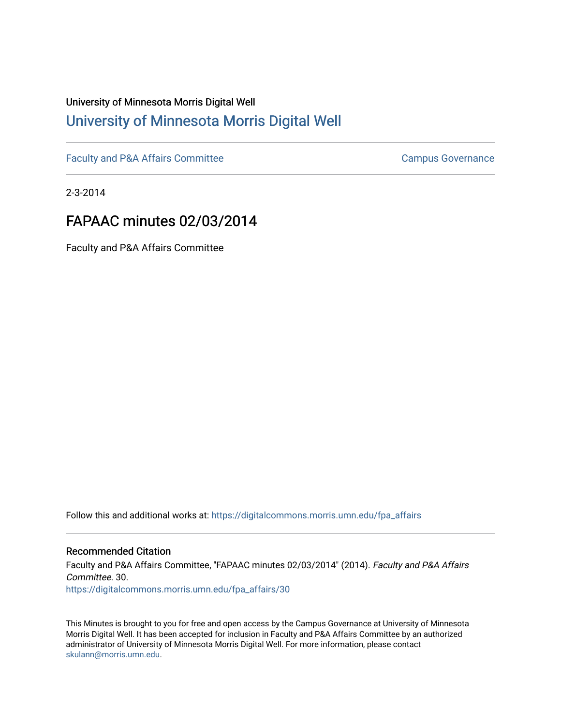## University of Minnesota Morris Digital Well [University of Minnesota Morris Digital Well](https://digitalcommons.morris.umn.edu/)

[Faculty and P&A Affairs Committee](https://digitalcommons.morris.umn.edu/fpa_affairs) [Campus Governance](https://digitalcommons.morris.umn.edu/campgov) Campus Governance

2-3-2014

## FAPAAC minutes 02/03/2014

Faculty and P&A Affairs Committee

Follow this and additional works at: [https://digitalcommons.morris.umn.edu/fpa\\_affairs](https://digitalcommons.morris.umn.edu/fpa_affairs?utm_source=digitalcommons.morris.umn.edu%2Ffpa_affairs%2F30&utm_medium=PDF&utm_campaign=PDFCoverPages)

## Recommended Citation

Faculty and P&A Affairs Committee, "FAPAAC minutes 02/03/2014" (2014). Faculty and P&A Affairs Committee. 30. [https://digitalcommons.morris.umn.edu/fpa\\_affairs/30](https://digitalcommons.morris.umn.edu/fpa_affairs/30?utm_source=digitalcommons.morris.umn.edu%2Ffpa_affairs%2F30&utm_medium=PDF&utm_campaign=PDFCoverPages) 

This Minutes is brought to you for free and open access by the Campus Governance at University of Minnesota Morris Digital Well. It has been accepted for inclusion in Faculty and P&A Affairs Committee by an authorized administrator of University of Minnesota Morris Digital Well. For more information, please contact [skulann@morris.umn.edu.](mailto:skulann@morris.umn.edu)